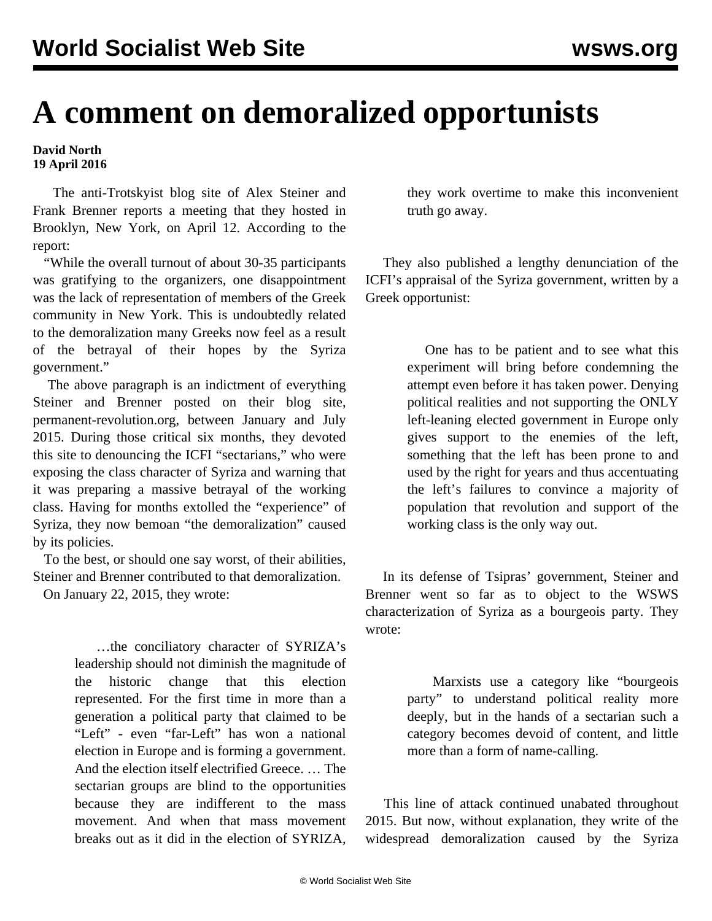## **A comment on demoralized opportunists**

## **David North 19 April 2016**

 The anti-Trotskyist blog site of Alex Steiner and Frank Brenner reports a meeting that they hosted in Brooklyn, New York, on April 12. According to the report:

 "While the overall turnout of about 30-35 participants was gratifying to the organizers, one disappointment was the lack of representation of members of the Greek community in New York. This is undoubtedly related to the demoralization many Greeks now feel as a result of the betrayal of their hopes by the Syriza government."

 The above paragraph is an indictment of everything Steiner and Brenner posted on their blog site, permanent-revolution.org, between January and July 2015. During those critical six months, they devoted this site to denouncing the ICFI "sectarians," who were exposing the class character of Syriza and warning that it was preparing a massive betrayal of the working class. Having for months extolled the "experience" of Syriza, they now bemoan "the demoralization" caused by its policies.

 To the best, or should one say worst, of their abilities, Steiner and Brenner contributed to that demoralization.

On January 22, 2015, they wrote:

 …the conciliatory character of SYRIZA's leadership should not diminish the magnitude of the historic change that this election represented. For the first time in more than a generation a political party that claimed to be "Left" - even "far-Left" has won a national election in Europe and is forming a government. And the election itself electrified Greece. … The sectarian groups are blind to the opportunities because they are indifferent to the mass movement. And when that mass movement breaks out as it did in the election of SYRIZA,

they work overtime to make this inconvenient truth go away.

 They also published a lengthy denunciation of the ICFI's appraisal of the Syriza government, written by a Greek opportunist:

> One has to be patient and to see what this experiment will bring before condemning the attempt even before it has taken power. Denying political realities and not supporting the ONLY left-leaning elected government in Europe only gives support to the enemies of the left, something that the left has been prone to and used by the right for years and thus accentuating the left's failures to convince a majority of population that revolution and support of the working class is the only way out.

 In its defense of Tsipras' government, Steiner and Brenner went so far as to object to the WSWS characterization of Syriza as a bourgeois party. They wrote:

> Marxists use a category like "bourgeois party" to understand political reality more deeply, but in the hands of a sectarian such a category becomes devoid of content, and little more than a form of name-calling.

 This line of attack continued unabated throughout 2015. But now, without explanation, they write of the widespread demoralization caused by the Syriza